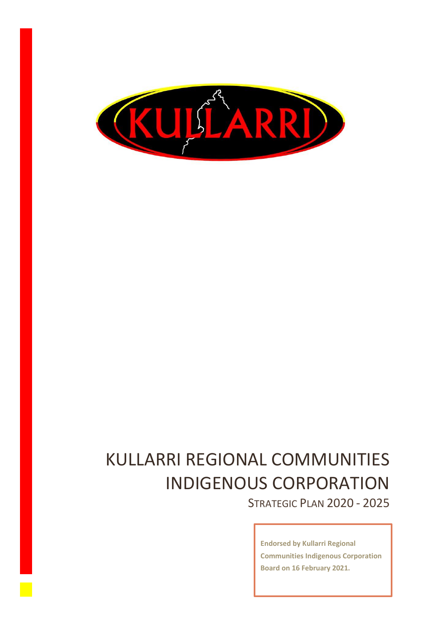

# KULLARRI REGIONAL COMMUNITIES INDIGENOUS CORPORATION

STRATEGIC PLAN 2020 - 2025

**Endorsed by Kullarri Regional Communities Indigenous Corporation Board on 16 February 2021.**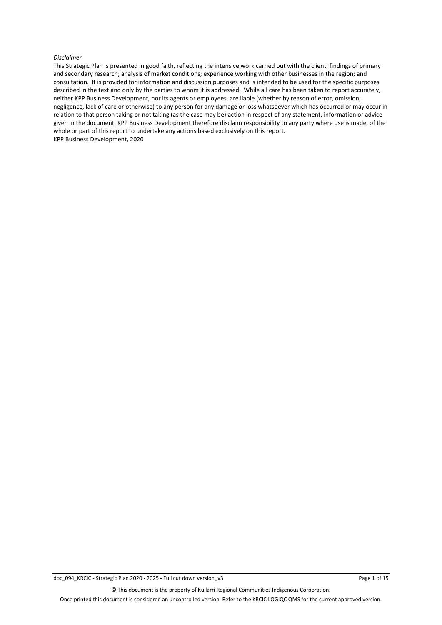#### *Disclaimer*

This Strategic Plan is presented in good faith, reflecting the intensive work carried out with the client; findings of primary and secondary research; analysis of market conditions; experience working with other businesses in the region; and consultation. It is provided for information and discussion purposes and is intended to be used for the specific purposes described in the text and only by the parties to whom it is addressed. While all care has been taken to report accurately, neither KPP Business Development, nor its agents or employees, are liable (whether by reason of error, omission, negligence, lack of care or otherwise) to any person for any damage or loss whatsoever which has occurred or may occur in relation to that person taking or not taking (as the case may be) action in respect of any statement, information or advice given in the document. KPP Business Development therefore disclaim responsibility to any party where use is made, of the whole or part of this report to undertake any actions based exclusively on this report. KPP Business Development, 2020

© This document is the property of Kullarri Regional Communities Indigenous Corporation.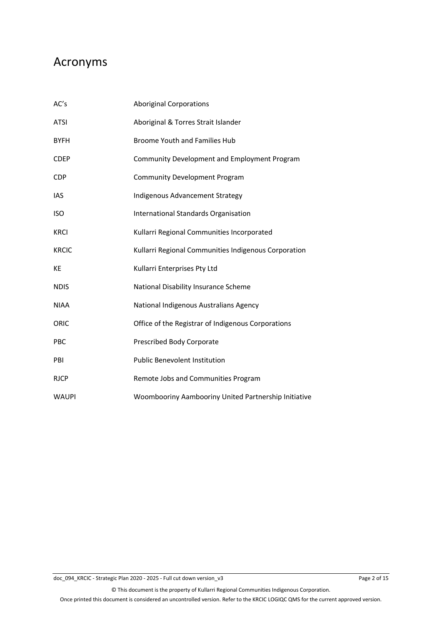### Acronyms

| AC's         | <b>Aboriginal Corporations</b>                       |
|--------------|------------------------------------------------------|
| <b>ATSI</b>  | Aboriginal & Torres Strait Islander                  |
| <b>BYFH</b>  | <b>Broome Youth and Families Hub</b>                 |
| <b>CDEP</b>  | Community Development and Employment Program         |
| <b>CDP</b>   | <b>Community Development Program</b>                 |
| <b>IAS</b>   | Indigenous Advancement Strategy                      |
| <b>ISO</b>   | International Standards Organisation                 |
| <b>KRCI</b>  | Kullarri Regional Communities Incorporated           |
| <b>KRCIC</b> | Kullarri Regional Communities Indigenous Corporation |
| <b>KE</b>    | Kullarri Enterprises Pty Ltd                         |
| <b>NDIS</b>  | National Disability Insurance Scheme                 |
| <b>NIAA</b>  | National Indigenous Australians Agency               |
| ORIC         | Office of the Registrar of Indigenous Corporations   |
| <b>PBC</b>   | Prescribed Body Corporate                            |
| PBI          | <b>Public Benevolent Institution</b>                 |
| <b>RJCP</b>  | Remote Jobs and Communities Program                  |
| <b>WAUPI</b> | Woombooriny Aambooriny United Partnership Initiative |

© This document is the property of Kullarri Regional Communities Indigenous Corporation.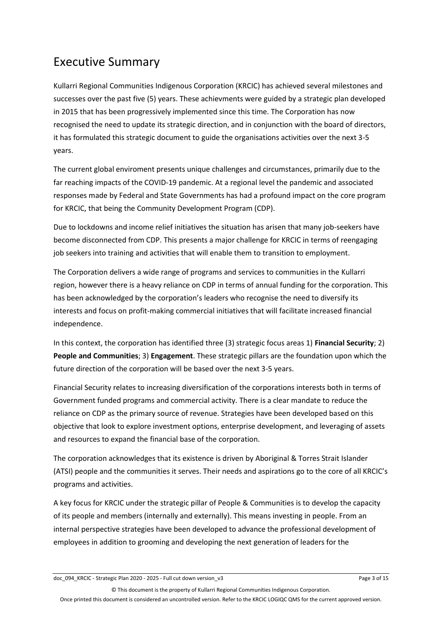### Executive Summary

Kullarri Regional Communities Indigenous Corporation (KRCIC) has achieved several milestones and successes over the past five (5) years. These achievments were guided by a strategic plan developed in 2015 that has been progressively implemented since this time. The Corporation has now recognised the need to update its strategic direction, and in conjunction with the board of directors, it has formulated this strategic document to guide the organisations activities over the next 3-5 years.

The current global enviroment presents unique challenges and circumstances, primarily due to the far reaching impacts of the COVID-19 pandemic. At a regional level the pandemic and associated responses made by Federal and State Governments has had a profound impact on the core program for KRCIC, that being the Community Development Program (CDP).

Due to lockdowns and income relief initiatives the situation has arisen that many job-seekers have become disconnected from CDP. This presents a major challenge for KRCIC in terms of reengaging job seekers into training and activities that will enable them to transition to employment.

The Corporation delivers a wide range of programs and services to communities in the Kullarri region, however there is a heavy reliance on CDP in terms of annual funding for the corporation. This has been acknowledged by the corporation's leaders who recognise the need to diversify its interests and focus on profit-making commercial initiatives that will facilitate increased financial independence.

In this context, the corporation has identified three (3) strategic focus areas 1) **Financial Security**; 2) **People and Communities**; 3) **Engagement**. These strategic pillars are the foundation upon which the future direction of the corporation will be based over the next 3-5 years.

Financial Security relates to increasing diversification of the corporations interests both in terms of Government funded programs and commercial activity. There is a clear mandate to reduce the reliance on CDP as the primary source of revenue. Strategies have been developed based on this objective that look to explore investment options, enterprise development, and leveraging of assets and resources to expand the financial base of the corporation.

The corporation acknowledges that its existence is driven by Aboriginal & Torres Strait Islander (ATSI) people and the communities it serves. Their needs and aspirations go to the core of all KRCIC's programs and activities.

A key focus for KRCIC under the strategic pillar of People & Communities is to develop the capacity of its people and members (internally and externally). This means investing in people. From an internal perspective strategies have been developed to advance the professional development of employees in addition to grooming and developing the next generation of leaders for the

doc\_094\_KRCIC - Strategic Plan 2020 - 2025 - Full cut down version\_v3 Page 3 of 15

© This document is the property of Kullarri Regional Communities Indigenous Corporation.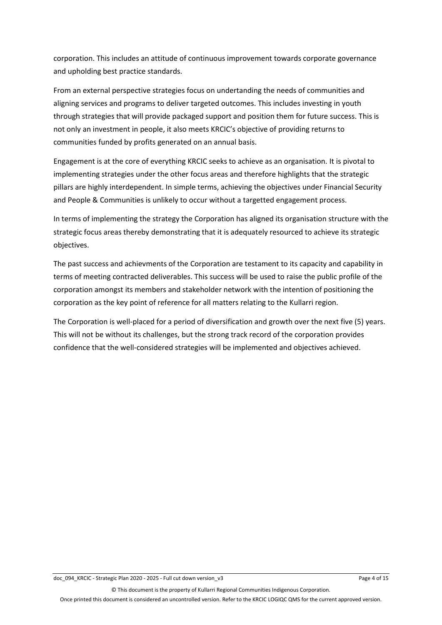corporation. This includes an attitude of continuous improvement towards corporate governance and upholding best practice standards.

From an external perspective strategies focus on undertanding the needs of communities and aligning services and programs to deliver targeted outcomes. This includes investing in youth through strategies that will provide packaged support and position them for future success. This is not only an investment in people, it also meets KRCIC's objective of providing returns to communities funded by profits generated on an annual basis.

Engagement is at the core of everything KRCIC seeks to achieve as an organisation. It is pivotal to implementing strategies under the other focus areas and therefore highlights that the strategic pillars are highly interdependent. In simple terms, achieving the objectives under Financial Security and People & Communities is unlikely to occur without a targetted engagement process.

In terms of implementing the strategy the Corporation has aligned its organisation structure with the strategic focus areas thereby demonstrating that it is adequately resourced to achieve its strategic objectives.

The past success and achievments of the Corporation are testament to its capacity and capability in terms of meeting contracted deliverables. This success will be used to raise the public profile of the corporation amongst its members and stakeholder network with the intention of positioning the corporation as the key point of reference for all matters relating to the Kullarri region.

The Corporation is well-placed for a period of diversification and growth over the next five (5) years. This will not be without its challenges, but the strong track record of the corporation provides confidence that the well-considered strategies will be implemented and objectives achieved.

© This document is the property of Kullarri Regional Communities Indigenous Corporation.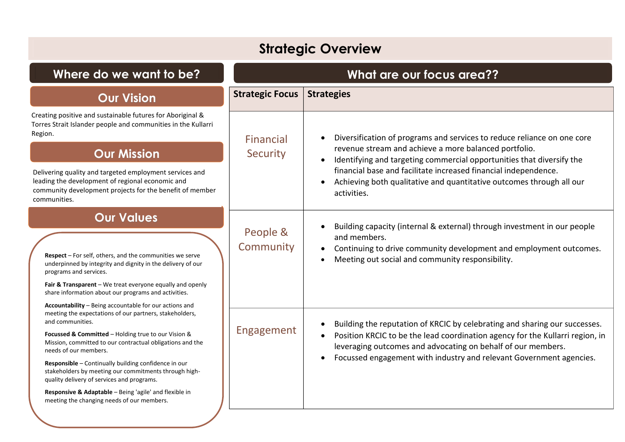## **Strategic Overview**

| Where do we want to be?                                                                                                                                                                                                                                                                                                                                                                                                                                                                         | What are our focus area?? |                                                                                                                                                                                                                                                                                                                              |  |
|-------------------------------------------------------------------------------------------------------------------------------------------------------------------------------------------------------------------------------------------------------------------------------------------------------------------------------------------------------------------------------------------------------------------------------------------------------------------------------------------------|---------------------------|------------------------------------------------------------------------------------------------------------------------------------------------------------------------------------------------------------------------------------------------------------------------------------------------------------------------------|--|
| <b>Our Vision</b>                                                                                                                                                                                                                                                                                                                                                                                                                                                                               | <b>Strategic Focus</b>    | <b>Strategies</b>                                                                                                                                                                                                                                                                                                            |  |
| Creating positive and sustainable futures for Aboriginal &<br>Torres Strait Islander people and communities in the Kullarri<br>Region.                                                                                                                                                                                                                                                                                                                                                          | Financial                 | Diversification of programs and services to reduce reliance on one core<br>$\bullet$                                                                                                                                                                                                                                         |  |
| <b>Our Mission</b>                                                                                                                                                                                                                                                                                                                                                                                                                                                                              | Security                  | revenue stream and achieve a more balanced portfolio.<br>Identifying and targeting commercial opportunities that diversify the<br>$\bullet$                                                                                                                                                                                  |  |
| Delivering quality and targeted employment services and<br>leading the development of regional economic and<br>community development projects for the benefit of member<br>communities.                                                                                                                                                                                                                                                                                                         |                           | financial base and facilitate increased financial independence.<br>Achieving both qualitative and quantitative outcomes through all our<br>activities.                                                                                                                                                                       |  |
| <b>Our Values</b><br><b>Respect</b> $-$ For self, others, and the communities we serve<br>underpinned by integrity and dignity in the delivery of our<br>programs and services.<br>Fair & Transparent - We treat everyone equally and openly<br>share information about our programs and activities.<br>Accountability - Being accountable for our actions and                                                                                                                                  | People &<br>Community     | Building capacity (internal & external) through investment in our people<br>$\bullet$<br>and members.<br>Continuing to drive community development and employment outcomes.<br>$\bullet$<br>Meeting out social and community responsibility.                                                                                 |  |
| meeting the expectations of our partners, stakeholders,<br>and communities.<br>Focussed & Committed - Holding true to our Vision &<br>Mission, committed to our contractual obligations and the<br>needs of our members.<br>Responsible - Continually building confidence in our<br>stakeholders by meeting our commitments through high-<br>quality delivery of services and programs.<br>Responsive & Adaptable - Being 'agile' and flexible in<br>meeting the changing needs of our members. | Engagement                | Building the reputation of KRCIC by celebrating and sharing our successes.<br>$\bullet$<br>Position KRCIC to be the lead coordination agency for the Kullarri region, in<br>leveraging outcomes and advocating on behalf of our members.<br>Focussed engagement with industry and relevant Government agencies.<br>$\bullet$ |  |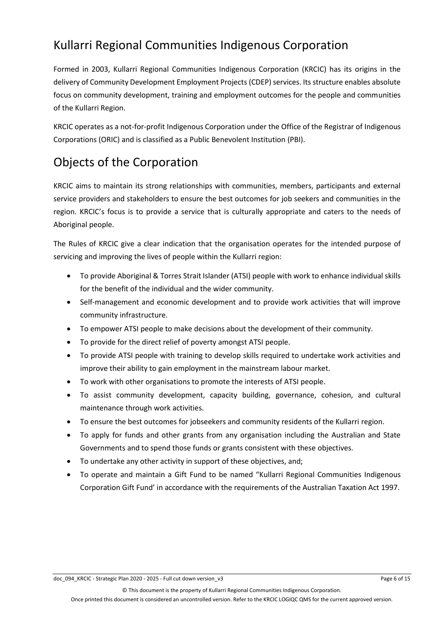### Kullarri Regional Communities Indigenous Corporation

Formed in 2003, Kullarri Regional Communities Indigenous Corporation (KRCIC) has its origins in the delivery of Community Development Employment Projects (CDEP) services. Its structure enables absolute focus on community development, training and employment outcomes for the people and communities of the Kullarri Region.

KRCIC operates as a not-for-profit Indigenous Corporation under the Office of the Registrar of Indigenous Corporations (ORIC) and is classified as a Public Benevolent Institution (PBI).

## Objects of the Corporation

KRCIC aims to maintain its strong relationships with communities, members, participants and external service providers and stakeholders to ensure the best outcomes for job seekers and communities in the region. KRCIC's focus is to provide a service that is culturally appropriate and caters to the needs of Aboriginal people.

The Rules of KRCIC give a clear indication that the organisation operates for the intended purpose of servicing and improving the lives of people within the Kullarri region:

- To provide Aboriginal & Torres Strait Islander (ATSI) people with work to enhance individual skills for the benefit of the individual and the wider community.
- Self-management and economic development and to provide work activities that will improve community infrastructure.
- To empower ATSI people to make decisions about the development of their community.
- To provide for the direct relief of poverty amongst ATSI people.
- To provide ATSI people with training to develop skills required to undertake work activities and improve their ability to gain employment in the mainstream labour market.
- To work with other organisations to promote the interests of ATSI people.
- To assist community development, capacity building, governance, cohesion, and cultural maintenance through work activities.
- To ensure the best outcomes for jobseekers and community residents of the Kullarri region.
- To apply for funds and other grants from any organisation including the Australian and State Governments and to spend those funds or grants consistent with these objectives.
- To undertake any other activity in support of these objectives, and;
- To operate and maintain a Gift Fund to be named "Kullarri Regional Communities Indigenous Corporation Gift Fund' in accordance with the requirements of the Australian Taxation Act 1997.

© This document is the property of Kullarri Regional Communities Indigenous Corporation.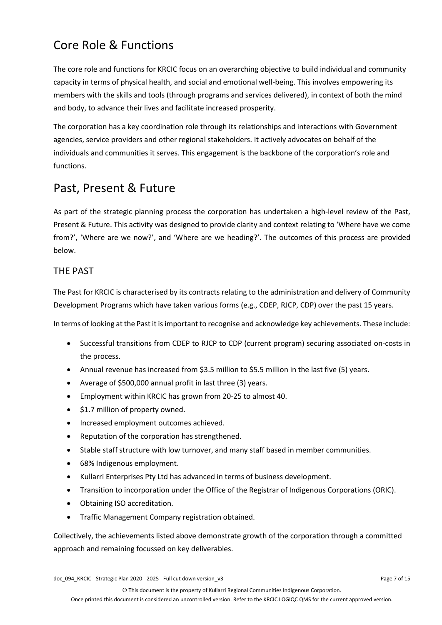### Core Role & Functions

The core role and functions for KRCIC focus on an overarching objective to build individual and community capacity in terms of physical health, and social and emotional well-being. This involves empowering its members with the skills and tools (through programs and services delivered), in context of both the mind and body, to advance their lives and facilitate increased prosperity.

The corporation has a key coordination role through its relationships and interactions with Government agencies, service providers and other regional stakeholders. It actively advocates on behalf of the individuals and communities it serves. This engagement is the backbone of the corporation's role and functions.

### Past, Present & Future

As part of the strategic planning process the corporation has undertaken a high-level review of the Past, Present & Future. This activity was designed to provide clarity and context relating to 'Where have we come from?', 'Where are we now?', and 'Where are we heading?'. The outcomes of this process are provided below.

### THE PAST

The Past for KRCIC is characterised by its contracts relating to the administration and delivery of Community Development Programs which have taken various forms (e.g., CDEP, RJCP, CDP) over the past 15 years.

In terms of looking at the Past it is important to recognise and acknowledge key achievements. These include:

- Successful transitions from CDEP to RJCP to CDP (current program) securing associated on-costs in the process.
- Annual revenue has increased from \$3.5 million to \$5.5 million in the last five (5) years.
- Average of \$500,000 annual profit in last three (3) years.
- Employment within KRCIC has grown from 20-25 to almost 40.
- \$1.7 million of property owned.
- Increased employment outcomes achieved.
- Reputation of the corporation has strengthened.
- Stable staff structure with low turnover, and many staff based in member communities.
- 68% Indigenous employment.
- Kullarri Enterprises Pty Ltd has advanced in terms of business development.
- Transition to incorporation under the Office of the Registrar of Indigenous Corporations (ORIC).
- Obtaining ISO accreditation.
- Traffic Management Company registration obtained.

Collectively, the achievements listed above demonstrate growth of the corporation through a committed approach and remaining focussed on key deliverables.

© This document is the property of Kullarri Regional Communities Indigenous Corporation.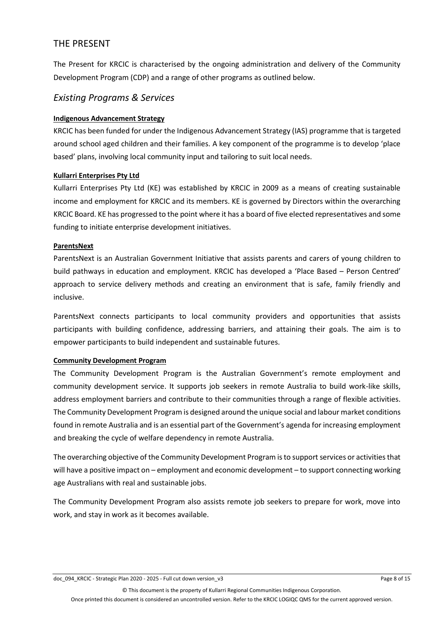### THE PRESENT

The Present for KRCIC is characterised by the ongoing administration and delivery of the Community Development Program (CDP) and a range of other programs as outlined below.

#### *Existing Programs & Services*

#### **Indigenous Advancement Strategy**

KRCIC has been funded for under the Indigenous Advancement Strategy (IAS) programme that is targeted around school aged children and their families. A key component of the programme is to develop 'place based' plans, involving local community input and tailoring to suit local needs.

#### **Kullarri Enterprises Pty Ltd**

Kullarri Enterprises Pty Ltd (KE) was established by KRCIC in 2009 as a means of creating sustainable income and employment for KRCIC and its members. KE is governed by Directors within the overarching KRCIC Board. KE has progressed to the point where it has a board of five elected representatives and some funding to initiate enterprise development initiatives.

#### **ParentsNext**

ParentsNext is an Australian Government Initiative that assists parents and carers of young children to build pathways in education and employment. KRCIC has developed a 'Place Based – Person Centred' approach to service delivery methods and creating an environment that is safe, family friendly and inclusive.

ParentsNext connects participants to local community providers and opportunities that assists participants with building confidence, addressing barriers, and attaining their goals. The aim is to empower participants to build independent and sustainable futures.

#### **Community Development Program**

The Community Development Program is the Australian Government's remote employment and community development service. It supports job seekers in remote Australia to build work-like skills, address employment barriers and contribute to their communities through a range of flexible activities. The Community Development Program is designed around the unique social and labour market conditions found in remote Australia and is an essential part of the Government's agenda for increasing employment and breaking the cycle of welfare dependency in remote Australia.

The overarching objective of the Community Development Program is to support services or activities that will have a positive impact on – employment and economic development – to support connecting working age Australians with real and sustainable jobs.

The Community Development Program also assists remote job seekers to prepare for work, move into work, and stay in work as it becomes available.

doc\_094\_KRCIC - Strategic Plan 2020 - 2025 - Full cut down version\_v3 Page 8 of 15

© This document is the property of Kullarri Regional Communities Indigenous Corporation.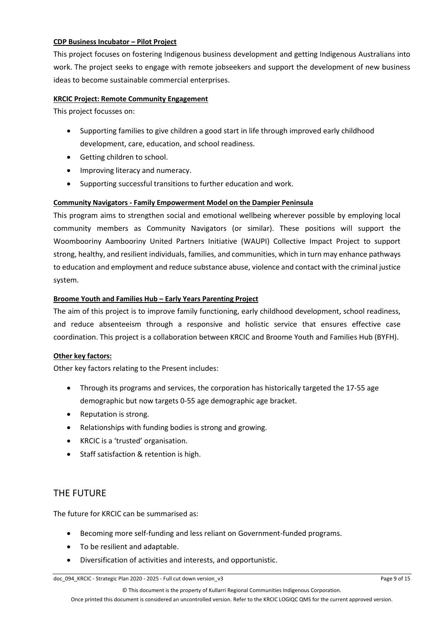#### **CDP Business Incubator – Pilot Project**

This project focuses on fostering Indigenous business development and getting Indigenous Australians into work. The project seeks to engage with remote jobseekers and support the development of new business ideas to become sustainable commercial enterprises.

#### **KRCIC Project: Remote Community Engagement**

This project focusses on:

- Supporting families to give children a good start in life through improved early childhood development, care, education, and school readiness.
- Getting children to school.
- Improving literacy and numeracy.
- Supporting successful transitions to further education and work.

#### **Community Navigators - Family Empowerment Model on the Dampier Peninsula**

This program aims to strengthen social and emotional wellbeing wherever possible by employing local community members as Community Navigators (or similar). These positions will support the Woombooriny Aambooriny United Partners Initiative (WAUPI) Collective Impact Project to support strong, healthy, and resilient individuals, families, and communities, which in turn may enhance pathways to education and employment and reduce substance abuse, violence and contact with the criminal justice system.

#### **Broome Youth and Families Hub – Early Years Parenting Project**

The aim of this project is to improve family functioning, early childhood development, school readiness, and reduce absenteeism through a responsive and holistic service that ensures effective case coordination. This project is a collaboration between KRCIC and Broome Youth and Families Hub (BYFH).

#### **Other key factors:**

Other key factors relating to the Present includes:

- Through its programs and services, the corporation has historically targeted the 17-55 age demographic but now targets 0-55 age demographic age bracket.
- Reputation is strong.
- Relationships with funding bodies is strong and growing.
- KRCIC is a 'trusted' organisation.
- Staff satisfaction & retention is high.

#### THE FUTURE

The future for KRCIC can be summarised as:

- Becoming more self-funding and less reliant on Government-funded programs.
- To be resilient and adaptable.
- Diversification of activities and interests, and opportunistic.

© This document is the property of Kullarri Regional Communities Indigenous Corporation.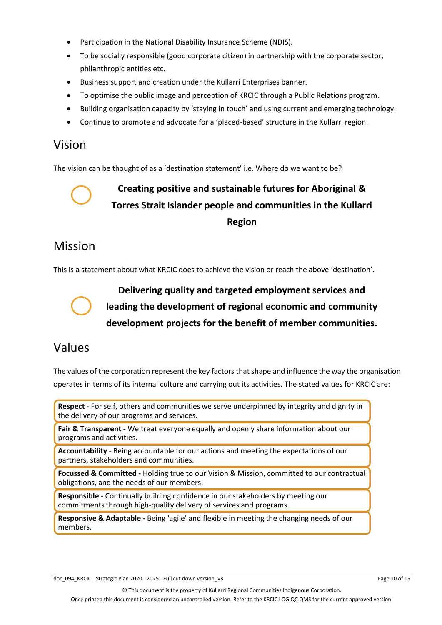- Participation in the National Disability Insurance Scheme (NDIS).
- To be socially responsible (good corporate citizen) in partnership with the corporate sector, philanthropic entities etc.
- Business support and creation under the Kullarri Enterprises banner.
- To optimise the public image and perception of KRCIC through a Public Relations program.
- Building organisation capacity by 'staying in touch' and using current and emerging technology.
- Continue to promote and advocate for a 'placed-based' structure in the Kullarri region.

### Vision

The vision can be thought of as a 'destination statement' i.e. Where do we want to be?



**Creating positive and sustainable futures for Aboriginal & Torres Strait Islander people and communities in the Kullarri Region** 

### Mission

This is a statement about what KRCIC does to achieve the vision or reach the above 'destination'.



**Delivering quality and targeted employment services and leading the development of regional economic and community development projects for the benefit of member communities.**

### Values

The values of the corporation represent the key factors that shape and influence the way the organisation operates in terms of its internal culture and carrying out its activities. The stated values for KRCIC are:

**Respect** - For self, others and communities we serve underpinned by integrity and dignity in the delivery of our programs and services.

**Fair & Transparent -** We treat everyone equally and openly share information about our programs and activities.

**Accountability** - Being accountable for our actions and meeting the expectations of our partners, stakeholders and communities.

**Focussed & Committed -** Holding true to our Vision & Mission, committed to our contractual obligations, and the needs of our members.

**Responsible** - Continually building confidence in our stakeholders by meeting our commitments through high-quality delivery of services and programs.

**Responsive & Adaptable -** Being 'agile' and flexible in meeting the changing needs of our members.

doc\_094\_KRCIC - Strategic Plan 2020 - 2025 - Full cut down version\_v3 Page 10 of 15

© This document is the property of Kullarri Regional Communities Indigenous Corporation.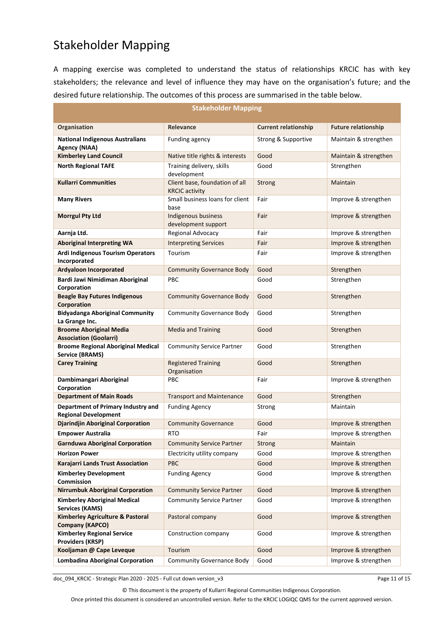### Stakeholder Mapping

A mapping exercise was completed to understand the status of relationships KRCIC has with key stakeholders; the relevance and level of influence they may have on the organisation's future; and the desired future relationship. The outcomes of this process are summarised in the table below.

| <b>Stakeholder Mapping</b>                                            |                                                         |                             |                            |  |  |
|-----------------------------------------------------------------------|---------------------------------------------------------|-----------------------------|----------------------------|--|--|
| Organisation                                                          | Relevance                                               | <b>Current relationship</b> | <b>Future relationship</b> |  |  |
| <b>National Indigenous Australians</b><br><b>Agency (NIAA)</b>        | Funding agency                                          | Strong & Supportive         | Maintain & strengthen      |  |  |
| <b>Kimberley Land Council</b>                                         | Native title rights & interests                         | Good                        | Maintain & strengthen      |  |  |
| <b>North Regional TAFE</b>                                            | Training delivery, skills<br>development                | Good                        | Strengthen                 |  |  |
| <b>Kullarri Communities</b>                                           | Client base, foundation of all<br><b>KRCIC</b> activity | <b>Strong</b>               | <b>Maintain</b>            |  |  |
| <b>Many Rivers</b>                                                    | Small business loans for client<br>base                 | Fair                        | Improve & strengthen       |  |  |
| <b>Morrgul Pty Ltd</b>                                                | Indigenous business<br>development support              | Fair                        | Improve & strengthen       |  |  |
| Aarnja Ltd.                                                           | Regional Advocacy                                       | Fair                        | Improve & strengthen       |  |  |
| <b>Aboriginal Interpreting WA</b>                                     | <b>Interpreting Services</b>                            | Fair                        | Improve & strengthen       |  |  |
| <b>Ardi Indigenous Tourism Operators</b>                              | Tourism                                                 | Fair                        | Improve & strengthen       |  |  |
| Incorporated                                                          |                                                         |                             |                            |  |  |
| <b>Ardyaloon Incorporated</b>                                         | <b>Community Governance Body</b>                        | Good                        | Strengthen                 |  |  |
| Bardi Jawi Nimidiman Aboriginal<br>Corporation                        | <b>PBC</b>                                              | Good                        | Strengthen                 |  |  |
| <b>Beagle Bay Futures Indigenous</b><br>Corporation                   | <b>Community Governance Body</b>                        | Good                        | Strengthen                 |  |  |
| <b>Bidyadanga Aboriginal Community</b><br>La Grange Inc.              | <b>Community Governance Body</b>                        | Good                        | Strengthen                 |  |  |
| <b>Broome Aboriginal Media</b><br><b>Association (Goolarri)</b>       | <b>Media and Training</b>                               | Good                        | Strengthen                 |  |  |
| <b>Broome Regional Aboriginal Medical</b><br><b>Service (BRAMS)</b>   | <b>Community Service Partner</b>                        | Good                        | Strengthen                 |  |  |
| <b>Carey Training</b>                                                 | <b>Registered Training</b><br>Organisation              | Good                        | Strengthen                 |  |  |
| Dambimangari Aboriginal<br>Corporation                                | <b>PBC</b>                                              | Fair                        | Improve & strengthen       |  |  |
| <b>Department of Main Roads</b>                                       | <b>Transport and Maintenance</b>                        | Good                        | Strengthen                 |  |  |
| Department of Primary Industry and<br><b>Regional Development</b>     | <b>Funding Agency</b>                                   | Strong                      | Maintain                   |  |  |
| <b>Djarindjin Aboriginal Corporation</b>                              | <b>Community Governance</b>                             | Good                        | Improve & strengthen       |  |  |
| <b>Empower Australia</b>                                              | <b>RTO</b>                                              | Fair                        | Improve & strengthen       |  |  |
| <b>Garnduwa Aboriginal Corporation</b>                                | <b>Community Service Partner</b>                        | Strong                      | Maintain                   |  |  |
| <b>Horizon Power</b>                                                  | Electricity utility company                             | Good                        | Improve & strengthen       |  |  |
| Karajarri Lands Trust Association                                     | PBC                                                     | Good                        | Improve & strengthen       |  |  |
| <b>Kimberley Development</b><br><b>Commission</b>                     | <b>Funding Agency</b>                                   | Good                        | Improve & strengthen       |  |  |
| <b>Nirrumbuk Aboriginal Corporation</b>                               | <b>Community Service Partner</b>                        | Good                        | Improve & strengthen       |  |  |
| <b>Kimberley Aboriginal Medical</b><br><b>Services (KAMS)</b>         | <b>Community Service Partner</b>                        | Good                        | Improve & strengthen       |  |  |
| <b>Kimberley Agriculture &amp; Pastoral</b><br><b>Company (KAPCO)</b> | Pastoral company                                        | Good                        | Improve & strengthen       |  |  |
| <b>Kimberley Regional Service</b><br><b>Providers (KRSP)</b>          | Construction company                                    | Good                        | Improve & strengthen       |  |  |
| Kooljaman @ Cape Leveque                                              | Tourism                                                 | Good                        | Improve & strengthen       |  |  |
| <b>Lombadina Aboriginal Corporation</b>                               | <b>Community Governance Body</b>                        | Good                        | Improve & strengthen       |  |  |

doc\_094\_KRCIC - Strategic Plan 2020 - 2025 - Full cut down version\_v3 Page 11 of 15

© This document is the property of Kullarri Regional Communities Indigenous Corporation.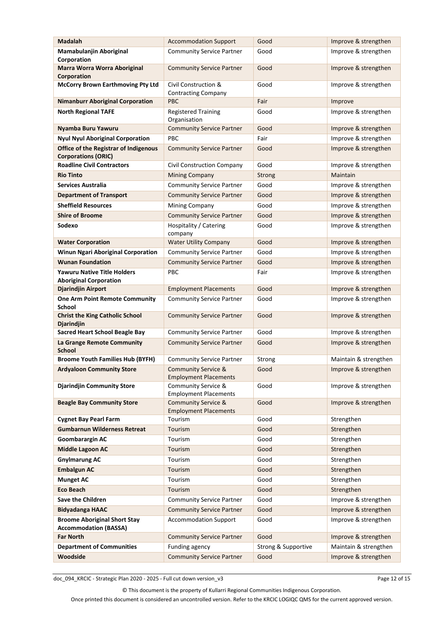| <b>Madalah</b>                                                             | <b>Accommodation Support</b>                                   | Good                | Improve & strengthen                         |
|----------------------------------------------------------------------------|----------------------------------------------------------------|---------------------|----------------------------------------------|
| Mamabulanjin Aboriginal<br>Corporation                                     | <b>Community Service Partner</b>                               | Good                | Improve & strengthen                         |
| <b>Marra Worra Worra Aboriginal</b><br>Corporation                         | <b>Community Service Partner</b>                               | Good                | Improve & strengthen                         |
| <b>McCorry Brown Earthmoving Pty Ltd</b>                                   | Civil Construction &<br><b>Contracting Company</b>             | Good                | Improve & strengthen                         |
| <b>Nimanburr Aboriginal Corporation</b>                                    | <b>PBC</b>                                                     | Fair                | Improve                                      |
| <b>North Regional TAFE</b>                                                 | <b>Registered Training</b><br>Organisation                     | Good                | Improve & strengthen                         |
| Nyamba Buru Yawuru                                                         | <b>Community Service Partner</b>                               | Good                | Improve & strengthen                         |
| <b>Nyul Nyul Aboriginal Corporation</b>                                    | PBC                                                            | Fair                | Improve & strengthen                         |
| <b>Office of the Registrar of Indigenous</b><br><b>Corporations (ORIC)</b> | <b>Community Service Partner</b>                               | Good                | Improve & strengthen                         |
| <b>Roadline Civil Contractors</b>                                          | Civil Construction Company                                     | Good                | Improve & strengthen                         |
| <b>Rio Tinto</b>                                                           | <b>Mining Company</b>                                          | Strong              | Maintain                                     |
| <b>Services Australia</b>                                                  | <b>Community Service Partner</b>                               | Good                | Improve & strengthen                         |
| <b>Department of Transport</b>                                             | <b>Community Service Partner</b>                               | Good                | Improve & strengthen                         |
| <b>Sheffield Resources</b>                                                 | Mining Company                                                 | Good                | Improve & strengthen                         |
| <b>Shire of Broome</b>                                                     | <b>Community Service Partner</b>                               | Good                | Improve & strengthen                         |
| Sodexo                                                                     | Hospitality / Catering<br>company                              | Good                | Improve & strengthen                         |
| <b>Water Corporation</b>                                                   | <b>Water Utility Company</b>                                   | Good                | Improve & strengthen                         |
| <b>Winun Ngari Aboriginal Corporation</b>                                  | <b>Community Service Partner</b>                               | Good                | Improve & strengthen                         |
| <b>Wunan Foundation</b>                                                    | <b>Community Service Partner</b>                               | Good                | Improve & strengthen                         |
| <b>Yawuru Native Title Holders</b><br><b>Aboriginal Corporation</b>        | <b>PBC</b>                                                     | Fair                | Improve & strengthen                         |
| Djarindjin Airport                                                         | <b>Employment Placements</b>                                   | Good                | Improve & strengthen                         |
| <b>One Arm Point Remote Community</b><br><b>School</b>                     | <b>Community Service Partner</b>                               | Good                | Improve & strengthen                         |
| <b>Christ the King Catholic School</b><br><b>Djarindjin</b>                | <b>Community Service Partner</b><br>Good                       |                     | Improve & strengthen                         |
| Sacred Heart School Beagle Bay                                             | <b>Community Service Partner</b>                               | Good                | Improve & strengthen<br>Improve & strengthen |
| La Grange Remote Community<br><b>School</b>                                | <b>Community Service Partner</b>                               | Good                |                                              |
| <b>Broome Youth Families Hub (BYFH)</b>                                    | <b>Community Service Partner</b>                               | Strong              | Maintain & strengthen                        |
| <b>Ardyaloon Community Store</b>                                           | <b>Community Service &amp;</b><br><b>Employment Placements</b> | Good                | Improve & strengthen                         |
| <b>Djarindjin Community Store</b>                                          | Community Service &<br><b>Employment Placements</b>            | Good                | Improve & strengthen                         |
| <b>Beagle Bay Community Store</b>                                          | <b>Community Service &amp;</b><br><b>Employment Placements</b> | Good                | Improve & strengthen<br>Strengthen           |
| <b>Cygnet Bay Pearl Farm</b>                                               | Tourism                                                        | Good                |                                              |
| <b>Gumbarnun Wilderness Retreat</b>                                        | Tourism<br>Good                                                |                     | Strengthen                                   |
| Goombarargin AC                                                            | Tourism                                                        | Good                | Strengthen                                   |
| <b>Middle Lagoon AC</b>                                                    | Tourism                                                        | Good                | Strengthen                                   |
| <b>Gnylmarung AC</b>                                                       | Tourism                                                        | Good                | Strengthen                                   |
| <b>Embalgun AC</b>                                                         | Tourism                                                        | Good                | Strengthen                                   |
| <b>Munget AC</b>                                                           | Tourism                                                        | Good                | Strengthen                                   |
| <b>Eco Beach</b>                                                           | Tourism                                                        | Good                | Strengthen                                   |
| Save the Children                                                          | <b>Community Service Partner</b>                               | Good                | Improve & strengthen                         |
| <b>Bidyadanga HAAC</b>                                                     | <b>Community Service Partner</b>                               | Good                | Improve & strengthen                         |
| <b>Broome Aboriginal Short Stay</b><br><b>Accommodation (BASSA)</b>        | <b>Accommodation Support</b>                                   | Good                | Improve & strengthen                         |
| <b>Far North</b>                                                           | <b>Community Service Partner</b>                               | Good                | Improve & strengthen                         |
| <b>Department of Communities</b>                                           | Funding agency                                                 | Strong & Supportive | Maintain & strengthen                        |
| Woodside                                                                   | <b>Community Service Partner</b>                               | Good                | Improve & strengthen                         |

doc\_094\_KRCIC - Strategic Plan 2020 - 2025 - Full cut down version\_v3 Page 12 of 15

© This document is the property of Kullarri Regional Communities Indigenous Corporation.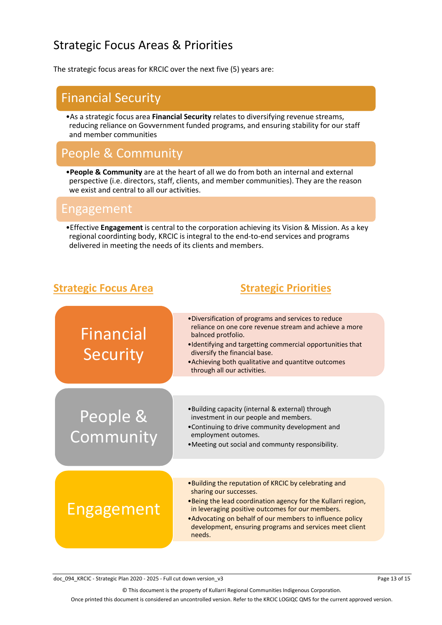### Strategic Focus Areas & Priorities

The strategic focus areas for KRCIC over the next five (5) years are:

### Financial Security

•As a strategic focus area **Financial Security** relates to diversifying revenue streams, reducing reliance on Govvernment funded programs, and ensuring stability for our staff and member communities

### People & Community

•**People & Community** are at the heart of all we do from both an internal and external perspective (i.e. directors, staff, clients, and member communities). They are the reason we exist and central to all our activities.

### Engagement

•Effective **Engagement** is central to the corporation achieving its Vision & Mission. As a key regional coordinting body, KRCIC is integral to the end-to-end services and programs delivered in meeting the needs of its clients and members.

### **Strategic Focus Area Strategic Priorities**



doc\_094\_KRCIC - Strategic Plan 2020 - 2025 - Full cut down version\_v3 Page 13 of 15

© This document is the property of Kullarri Regional Communities Indigenous Corporation.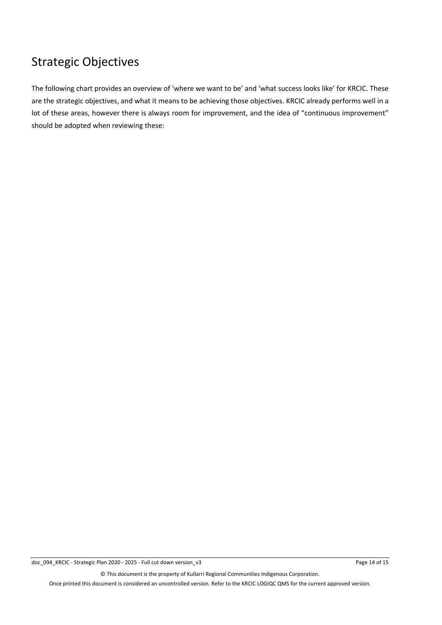### Strategic Objectives

The following chart provides an overview of 'where we want to be' and 'what success looks like' for KRCIC. These are the strategic objectives, and what it means to be achieving those objectives. KRCIC already performs well in a lot of these areas, however there is always room for improvement, and the idea of "continuous improvement" should be adopted when reviewing these:

© This document is the property of Kullarri Regional Communities Indigenous Corporation.